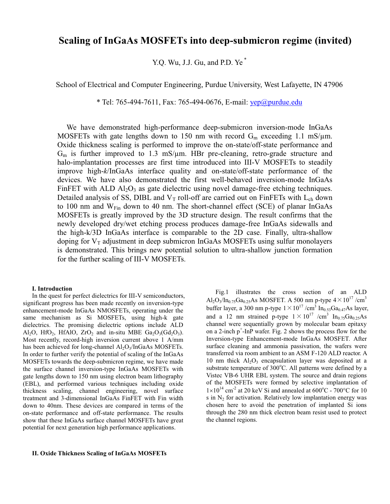# **Scaling of InGaAs MOSFETs into deep-submicron regime (invited)**

Y.Q. Wu, J.J. Gu, and P.D. Ye \*

School of Electrical and Computer Engineering, Purdue University, West Lafayette, IN 47906

\* Tel: 765-494-7611, Fax: 765-494-0676, E-mail: yep@purdue.edu

We have demonstrated high-performance deep-submicron inversion-mode InGaAs MOSFETs with gate lengths down to 150 nm with record  $G_m$  exceeding 1.1 mS/ $\mu$ m. Oxide thickness scaling is performed to improve the on-state/off-state performance and  $G<sub>m</sub>$  is further improved to 1.3 mS/ $\mu$ m. HBr pre-cleaning, retro-grade structure and halo-implantation processes are first time introduced into III-V MOSFETs to steadily improve high-*k*/InGaAs interface quality and on-state/off-state performance of the devices. We have also demonstrated the first well-behaved inversion-mode InGaAs FinFET with ALD  $Al_2O_3$  as gate dielectric using novel damage-free etching techniques. Detailed analysis of SS, DIBL and  $V_T$  roll-off are carried out on FinFETs with  $L_{ch}$  down to 100 nm and W<sub>Fin</sub> down to 40 nm. The short-channel effect (SCE) of planar InGaAs MOSFETs is greatly improved by the 3D structure design. The result confirms that the newly developed dry/wet etching process produces damage-free InGaAs sidewalls and the high-k/3D InGaAs interface is comparable to the 2D case. Finally, ultra-shallow doping for  $V_T$  adjustment in deep submicron InGaAs MOSFETs using sulfur monolayers is demonstrated. This brings new potential solution to ultra-shallow junction formation for the further scaling of III-V MOSFETs.

## **I. Introduction**

In the quest for perfect dielectrics for III-V semiconductors, significant progress has been made recently on inversion-type enhancement-mode InGaAs NMOSFETs, operating under the same mechanism as Si MOSFETs, using high-k gate dielectrics. The promising dielectric options include ALD Al<sub>2</sub>O, HfO<sub>2</sub>, HfAlO, ZrO<sub>2</sub> and in-situ MBE  $Ga_2O_3(Gd_2O_3)$ . Most recently, record-high inversion current above 1 A/mm has been achieved for long-channel  $Al_2O_3/InGaAs$  MOSFETs. In order to further verify the potential of scaling of the InGaAs MOSFETs towards the deep-submicron regime, we have made the surface channel inversion-type InGaAs MOSFETs with gate lengths down to 150 nm using electron beam lithography (EBL), and performed various techniques including oxide thickness scaling, channel engineering, novel surface treatment and 3-dimensional InGaAs FinFET with Fin width down to 40nm. These devices are compared in terms of the on-state performance and off-state performance. The results show that these InGaAs surface channel MOSFETs have great potential for next generation high performance applications.

# **II. Oxide Thickness Scaling of InGaAs MOSFETs**

Fig.1 illustrates the cross section of an ALD Al<sub>2</sub>O<sub>3</sub>/In<sub>0.75</sub>Ga<sub>0.25</sub>As MOSFET. A 500 nm p-type  $4\times10^{17}$  /cm<sup>3</sup> buffer layer, a 300 nm p-type  $1 \times 10^{17}$  /cm<sup>3</sup> In<sub>0.53</sub>Ga<sub>0.47</sub>As layer, and a 12 nm strained p-type  $1 \times 10^{17}$  /cm<sup>3</sup> In<sub>0.75</sub>Ga<sub>0.25</sub>As channel were sequentially grown by molecular beam epitaxy on a 2-inch  $p^+$ -InP wafer. Fig. 2 shows the process flow for the Inversion-type Enhancement-mode InGaAs MOSFET. After surface cleaning and ammonia passivation, the wafers were transferred via room ambient to an ASM F-120 ALD reactor. A 10 nm thick  $Al_2O_3$  encapsulation layer was deposited at a substrate temperature of 300°C. All patterns were defined by a Vistec VB-6 UHR EBL system. The source and drain regions of the MOSFETs were formed by selective implantation of  $1\times10^{14}$  cm<sup>-2</sup> at 20 keV Si and annealed at 600°C - 700°C for 10 s in  $N<sub>2</sub>$  for activation. Relatively low implantation energy was chosen here to avoid the penetration of implanted Si ions through the 280 nm thick electron beam resist used to protect the channel regions.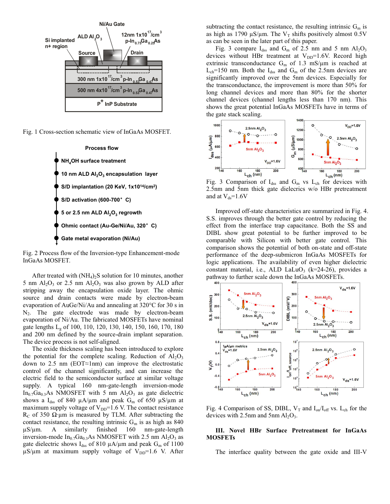





Fig. 2 Process flow of the Inversion-type Enhancement-mode InGaAs MOSFET.

After treated with  $(NH_4)_2S$  solution for 10 minutes, another 5 nm  $Al_2O_3$  or 2.5 nm  $Al_2O_3$  was also grown by ALD after stripping away the encapsulation oxide layer. The ohmic source and drain contacts were made by electron-beam evaporation of AuGe/Ni/Au and annealing at 320°C for 30 s in N<sub>2</sub>. The gate electrode was made by electron-beam evaporation of Ni/Au. The fabricated MOSFETs have nominal gate lengths L<sub>p</sub> of 100, 110, 120, 130, 140, 150, 160, 170, 180 and 200 nm defined by the source-drain implant separation. The device process is not self-aligned.

The oxide thickness scaling has been introduced to explore the potential for the complete scaling. Reduction of  $Al_2O_3$ down to 2.5 nm (EOT≈1nm) can improve the electrostatic control of the channel significantly, and can increase the electric field to the semiconductor surface at similar voltage supply. A typical 160 nm-gate-length inversion-mode  $In_{0.7}Ga_{0.3}As$  NMOSFET with 5 nm  $Al_2O_3$  as gate dielectric shows a  $I_{dss}$  of 840  $\mu A/\mu m$  and peak G<sub>m</sub> of 650  $\mu S/\mu m$  at maximum supply voltage of  $V_{DD}$ =1.6 V. The contact resistance R<sub>C</sub> of 350  $\Omega$ ∙µm is measured by TLM. After subtracting the contact resistance, the resulting intrinsic  $G_m$  is as high as 840  $\mu$ S/ $\mu$ m. A similarly finished 160 nm-gate-length inversion-mode  $In_{0.7}Ga_{0.3}As NMOSFET$  with 2.5 nm  $Al_2O_3$  as gate dielectric shows  $I_{dss}$  of 810  $\mu$ A/ $\mu$ m and peak G<sub>m</sub> of 1100  $\mu$ S/ $\mu$ m at maximum supply voltage of V<sub>DD</sub>=1.6 V. After subtracting the contact resistance, the resulting intrinsic  $G_m$  is as high as 1790  $\mu$ S/ $\mu$ m. The V<sub>T</sub> shifts positively almost 0.5V as can be seen in the later part of this paper.

Fig. 3 compare  $I_{dss}$  and  $G_m$  of 2.5 nm and 5 nm  $Al_2O_3$ devices without HBr treatment at  $V_{DD}$ =1.6V. Record high extrinsic transconductance  $G_m$  of 1.3 mS/ $\mu$ m is reached at  $L_{ch}$ =150 nm. Both the  $I_{dss}$  and  $G_m$  of the 2.5nm devices are significantly improved over the 5nm devices. Especially for the transconductance, the improvement is more than 50% for long channel devices and more than 80% for the shorter channel devices (channel lengths less than 170 nm). This shows the great potential InGaAs MOSFETs have in terms of the gate stack scaling.



2.5nm and 5nm thick gate dielecrics w/o HBr pretreatment and at  $V_{ds}$ =1.6V

Improved off-state characteristics are summarized in Fig. 4. S.S. improves through the better gate control by reducing the effect from the interface trap capacitance. Both the SS and DIBL show great potential to be further improved to be comparable with Silicon with better gate control. This comparison shows the potential of both on-state and off-state performance of the deep-submicron InGaAs MOSFETs for logic applications. The availability of even higher dielectric constant material, i.e., ALD LaLuO<sub>3</sub> (k=24-26), provides a pathway to further scale down the InGaAs MOSFETs.



Fig. 4 Comparison of SS, DIBL,  $V_T$  and  $I_{on}/I_{off}$  vs. L<sub>ch</sub> for the devices with 2.5nm and 5nm  $Al_2O_3$ .

# **III. Novel HBr Surface Pretreatment for InGaAs MOSFETs**

The interface quality between the gate oxide and III-V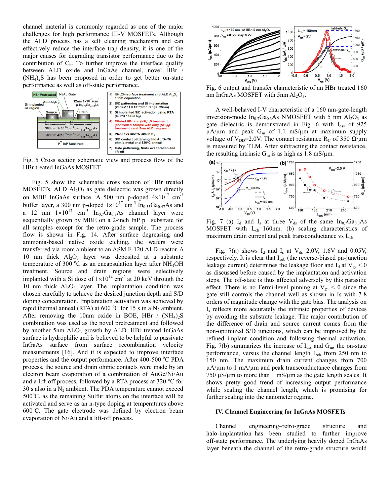channel material is commonly regarded as one of the major challenges for high performance III-V MOSFETs. Although the ALD process has a self cleaning mechanism and can effectively reduce the interface trap density, it is one of the major causes for degrading transistor performance due to the contribution of  $C_{it}$ . To further improve the interface quality between ALD oxide and InGaAs channel, novel HBr /  $(NH_4)_2$ S has been proposed in order to get better on-state performance as well as off-state performance.



Fig. 5 Cross section schematic view and process flow of the HBr treated InGaAs MOSFET

Fig. 5 show the schematic cross section of HBr treated MOSFETs. ALD  $Al_2O_3$  as gate dielectric was grown directly on MBE InGaAs surface. A 500 nm p-doped  $4\times10^{17}$  cm<sup>-3</sup> buffer layer, a 300 nm p-doped  $1 \times 10^{17}$  cm<sup>-3</sup> In<sub>0.53</sub>Ga<sub>0.47</sub>As and a 12 nm  $1\times10^{17}$  cm<sup>-3</sup> In<sub>0.7</sub>Ga<sub>0.3</sub>As channel layer were sequentially grown by MBE on a 2-inch InP p+ substrate for all samples except for the retro-grade sample. The process flow is shown in Fig. 14. After surface degreasing and ammonia-based native oxide etching, the wafers were transferred via room ambient to an ASM F-120 ALD reactor. A 10 nm thick  $Al_2O_3$  layer was deposited at a substrate temperature of 300 °C as an encapsulation layer after NH<sub>4</sub>OH treatment. Source and drain regions were selectively implanted with a Si dose of  $1 \times 10^{14}$  cm<sup>-2</sup> at 20 keV through the 10 nm thick  $Al_2O_3$  layer. The implantation condition was chosen carefully to achieve the desired junction depth and S/D doping concentration. Implantation activation was achieved by rapid thermal anneal (RTA) at 600 °C for 15 s in a  $N_2$  ambient. After removing the 10nm oxide in BOE, HBr /  $(NH_4)_2S$ combination was used as the novel pretreatment and followed by another 5nm  $Al_2O_3$  growth by ALD. HBr treated InGaAs surface is hydrophilic and is believed to be helpful to passivate InGaAs surface from surface recombination velocity measurements [16]. And it is expected to improve interface properties and the output performance. After 400-500 °C PDA process, the source and drain ohmic contacts were made by an electron beam evaporation of a combination of AuGe/Ni/Au and a lift-off process, followed by a RTA process at 320  $^{\circ}$ C for 30 s also in a  $N_2$  ambient. The PDA temperature cannot exceed 500°C, as the remaining Sulfur atoms on the interface will be activated and serve as an n-type doping at temperatures above 600°C. The gate electrode was defined by electron beam evaporation of Ni/Au and a lift-off process.



Fig. 6 output and transfer characteristic of an HBr treated 160 nm InGaAs MOSFET with 5nm  $Al_2O_3$ .

A well-behaved I-V characteristic of a 160 nm-gate-length inversion-mode  $In_{0.7}Ga_{0.3}As$  NMOSFET with 5 nm  $Al_2O_3$  as gate dielectric is demonstrated in Fig. 6 with I<sub>dss</sub> of 925  $\mu$ A/ $\mu$ m and peak G<sub>m</sub> of 1.1 mS/ $\mu$ m at maximum supply voltage of V<sub>DD</sub>=2.0V. The contact resistance R<sub>C</sub> of 350 Ω⋅μm is measured by TLM. After subtracting the contact resistance, the resulting intrinsic  $G_m$  is as high as 1.8 mS/ $\mu$ m.



Fig. 7 (a)  $I_d$  and  $I_s$  at three  $V_{ds}$  of the same  $In_{0.7}Ga_{0.3}As$ MOSFET with  $L_{ch}$ =160nm. (b) scaling characteristics of maximum drain current and peak transconductance vs  $L_{ch}$ 

Fig. 7(a) shows  $I_d$  and  $I_s$  at  $V_{ds}$ =2.0V, 1.6V and 0.05V, respectively. It is clear that  $I_{sub}$  (the reverse-biased pn-junction leakage current) determines the leakage floor and  $I_d$  at  $V_{gs}$  < 0 as discussed before caused by the implantation and activation steps. The off-state is thus affected adversely by this parasitic effect. There is no Fermi-level pinning at  $V_{gs} < 0$  since the gate still controls the channel well as shown in Is with 7-8 orders of magnitude change with the gate bias. The analysis on Is reflects more accurately the intrinsic properties of devices by avoiding the substrate leakage. The major contribution of the difference of drain and source current comes from the non-optimized S/D junctions, which can be improved by the refined implant condition and following thermal activation. Fig. 7(b) summarizes the increase of  $I_{dss}$  and  $G_m$ , the on-state performance, versus the channel length  $L_{ch}$  from 250 nm to 150 nm. The maximum drain current changes from 700  $\mu$ A/ $\mu$ m to 1 mA/ $\mu$ m and peak transconductance changes from 750  $\mu$ S/ $\mu$ m to more than 1 mS/ $\mu$ m as the gate length scales. It shows pretty good trend of increasing output performance while scaling the channel length, which is promising for further scaling into the nanometer regime.

## **IV. Channel Engineering for InGaAs MOSFETs**

Channel engineering–retro-grade structure and halo-implantation–has been studied to further improve off-state performance. The underlying heavily doped InGaAs layer beneath the channel of the retro-grade structure would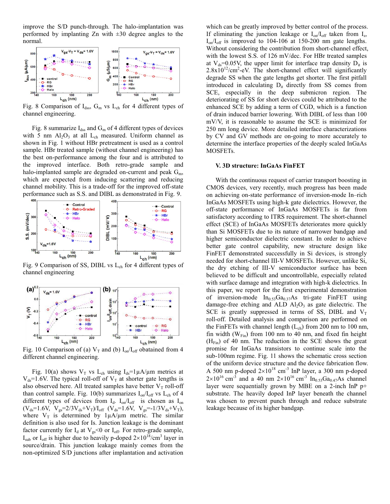improve the S/D punch-through. The halo-implantation was performed by implanting Zn with  $\pm 30$  degree angles to the normal.



Fig. 8 Comparison of  $I_{dss}$ ,  $G_m$  vs  $L_{ch}$  for 4 different types of channel engineering.

Fig. 8 summarize  $I_{dss}$  and  $G_m$  of 4 different types of devices with 5 nm  $Al_2O_3$  at all  $L_{ch}$  measured. Uniform channel as shown in Fig. 1 without HBr pretreatment is used as a control sample. HBr treated sample (without channel engineering) has the best on-performance among the four and is attributed to the improved interface. Both retro-grade sample and halo-implanted sample are degraded on-current and peak  $G_m$ , which are expected from inducing scattering and reducing channel mobility. This is a trade-off for the improved off-state performance such as S.S. and DIBL as demonstrated in Fig. 9.



Fig. 9 Comparison of SS, DIBL vs  $L_{ch}$  for 4 different types of channel engineering



Fig. 10 Comparison of (a)  $V_T$  and (b)  $I_{on}/I_{off}$  obatained from 4 different channel engineering.

Fig. 10(a) shows  $V_T$  vs L<sub>ch</sub> using  $I_{ds} = 1 \mu A/\mu m$  metrics at  $V_{ds}$ =1.6V. The typical roll-off of  $V_T$  at shorter gate lengths is also observed here. All treated samples have better  $V<sub>T</sub>$  roll-off than control sample. Fig. 10(b) summarizes  $I_{on}/I_{off}$  vs  $L_{ch}$  of 4 different types of devices from  $I_d$ .  $I_{on}/I_{off}$  is chosen as  $I_{on}$  $(V_{ds}=1.6V, V_{gs}=2/3V_{ds}+V_T)/I_{off}$   $(V_{ds}=1.6V, V_{gs}=1/3V_{ds}+V_T),$ where  $V_T$  is determined by  $1\mu A/\mu m$  metric. The similar definition is also used for Is. Junction leakage is the dominant factor currently for  $I_d$  at  $V_{gs}$ <0 or  $I_{off}$ . For retro-grade sample,  $I_{sub}$  or  $I_{off}$  is higher due to heavily p-doped  $2 \times 10^{18} / \text{cm}^3$  layer in source/drain. This junction leakage mainly comes from the non-optimized S/D junctions after implantation and activation

which can be greatly improved by better control of the process. If eliminating the junction leakage or  $I_{on}/I_{off}$  taken from  $I_{s}$ ,  $I_{on}/I_{off}$  is improved to 104-106 at 150-200 nm gate lengths. Without considering the contribution from short-channel effect, with the lowest S.S. of 126 mV/dec. For HBr treated samples at  $V_{ds}=0.05V$ , the upper limit for interface trap density  $D_{it}$  is  $2.8 \times 10^{12}$ /cm<sup>2</sup>-eV. The short-channel effect will significantly degrade SS when the gate lengths get shorter. The first pitfall introduced in calculating  $D_{it}$  directly from SS comes from SCE, especially in the deep submicron region. The deteriorating of SS for short devices could be attributed to the enhanced SCE by adding a term of CGD, which is a function of drain induced barrier lowering. With DIBL of less than 100 mV/V, it is reasonable to assume the SCE is minimized for 250 nm long device. More detailed interface characterizations by CV and GV methods are on-going to more accurately to determine the interface properties of the deeply scaled InGaAs MOSFETs.

#### **V. 3D structure: InGaAs FinFET**

With the continuous request of carrier transport boosting in CMOS devices, very recently, much progress has been made on achieving on-state performance of inversion-mode In–rich InGaAs MOSFETs using high-k gate dielectrics. However, the off-state performance of InGaAs MOSFETs is far from satisfactory according to ITRS requirement. The short-channel effect (SCE) of InGaAs MOSFETs deteriorates more quickly than Si MOSFETs due to its nature of narrower bandgap and higher semiconductor dielectric constant. In order to achieve better gate control capability, new structure design like FinFET demonstrated successfully in Si devices, is strongly needed for short-channel III-V MOSFETs. However, unlike Si, the dry etching of III-V semiconductor surface has been believed to be difficult and uncontrollable, especially related with surface damage and integration with high-k dielectrics. In this paper, we report for the first experimental demonstration of inversion-mode  $In<sub>0.53</sub>Ga<sub>0.37</sub>As$  tri-gate FinFET using damage-free etching and ALD  $Al_2O_3$  as gate dielectric. The SCE is greatly suppressed in terms of SS, DIBL and  $V_T$ roll-off. Detailed analysis and comparison are performed on the FinFETs with channel length  $(L_{ch})$  from 200 nm to 100 nm, fin width ( $W_{Fin}$ ) from 100 nm to 40 nm, and fixed fin height  $(H_{Fin})$  of 40 nm. The reduction in the SCE shows the great promise for InGaAs transistors to continue scale into the sub-100nm regime. Fig. 11 shows the schematic cross section of the uniform device structure and the device fabrication flow. A 500 nm p-doped  $2\times10^{18}$  cm<sup>-3</sup> InP layer, a 300 nm p-doped  $2 \times 10^{16}$  cm<sup>-3</sup> and a 40 nm  $2 \times 10^{16}$  cm<sup>-3</sup> In<sub>0.53</sub>Ga<sub>0.47</sub>As channel layer were sequentially grown by MBE on a 2-inch InP  $p+$ substrate. The heavily doped InP layer beneath the channel was chosen to prevent punch through and reduce substrate leakage because of its higher bandgap.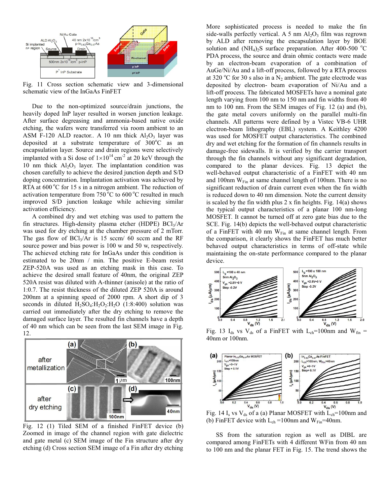

Fig. 11 Cross section schematic view and 3-dimensional schematic view of the InGaAs FinFET

Due to the non-optimized source/drain junctions, the heavily doped InP layer resulted in worsen junction leakage. After surface degreasing and ammonia-based native oxide etching, the wafers were transferred via room ambient to an ASM F-120 ALD reactor.. A 10 nm thick  $Al_2O_3$  layer was deposited at a substrate temperature of  $300^{\circ}$ C as an encapsulation layer. Source and drain regions were selectively implanted with a Si dose of  $1 \times 10^{14}$  cm<sup>-2</sup> at 20 keV through the 10 nm thick  $Al_2O_3$  layer. The implantation condition was chosen carefully to achieve the desired junction depth and S/D doping concentration. Implantation activation was achieved by RTA at  $600\degree$ C for 15 s in a nitrogen ambient. The reduction of activation temperature from  $750\degree C$  to  $600\degree C$  resulted in much improved S/D junction leakage while achieving similar activation efficiency.

A combined dry and wet etching was used to pattern the fin structures. High-density plasma etcher (HDPE)  $BCI<sub>3</sub>/Ar$ was used for dry etching at the chamber pressure of 2 mTorr. The gas flow of  $BCl<sub>3</sub>/Ar$  is 15 sccm/ 60 sccm and the RF source power and bias power is 100 w and 50 w, respectively. The achieved etching rate for InGaAs under this condition is estimated to be 20nm / min. The positive E-beam resist ZEP-520A was used as an etching mask in this case. To achieve the desired small feature of 40nm, the original ZEP 520A resist was diluted with A-thinner (anisole) at the ratio of 1:0.7. The resist thickness of the diluted ZEP 520A is around 200nm at a spinning speed of 2000 rpm. A short dip of 3 seconds in diluted  $H_2SO_4$ : $H_2O_2$ : $H_2O$  (1:8:400) solution was carried out immediately after the dry etching to remove the damaged surface layer. The resulted fin channels have a depth of 40 nm which can be seen from the last SEM image in Fig. 12.



Fig. 12 (1) Tiled SEM of a finished FinFET device (b) Zoomed in image of the channel region with gate dielectric and gate metal (c) SEM image of the Fin structure after dry etching (d) Cross section SEM image of a Fin after dry etching

More sophisticated process is needed to make the fin side-walls perfectly vertical. A 5 nm  $Al_2O_3$  film was regrown by ALD after removing the encapsulation layer by BOE solution and  $(NH<sub>4</sub>)<sub>2</sub>S$  surface preparation. After 400-500 °C PDA process, the source and drain ohmic contacts were made by an electron-beam evaporation of a combination of AuGe/Ni/Au and a lift-off process, followed by a RTA process at 320 °C for 30 s also in a  $N_2$  ambient. The gate electrode was deposited by electron- beam evaporation of Ni/Au and a lift-off process. The fabricated MOSFETs have a nominal gate length varying from 100 nm to 150 nm and fin widths from 40 nm to 100 nm. From the SEM images of Fig. 12 (a) and (b), the gate metal covers uniformly on the parallel multi-fin channels. All patterns were defined by a Vistec VB-6 UHR electron-beam lithography (EBL) system. A Keithley 4200 was used for MOSFET output characteristics. The combined dry and wet etching for the formation of fin channels results in damage-free sidewalls. It is verified by the carrier transport through the fin channels without any significant degradation, compared to the planar devices. Fig. 13 depict the well-behaved output characteristic of a FinFET with 40 nm and 100nm  $W_{Fin}$  at same channel length of 100nm. There is no significant reduction of drain current even when the fin width is reduced down to 40 nm dimension. Note the current density is scaled by the fin width plus 2 x fin heights. Fig. 14(a) shows the typical output characteristics of a planar 100 nm-long MOSFET. It cannot be turned off at zero gate bias due to the SCE. Fig. 14(b) depicts the well-behaved output characteristic of a FinFET with 40 nm  $W_{Fin}$  at same channel length. From the comparison, it clearly shows the FinFET has much better behaved output characteristics in terms of off-state while maintaining the on-state performance compared to the planar device.



Fig. 13  $I_{ds}$  vs  $V_{ds}$  of a FinFET with  $L_{ch}$ =100nm and W<sub>fin</sub> = 40nm or 100nm.



(b) FinFET device with  $L_{ch} = 100$ nm and W<sub>Fin</sub>=40nm.

 SS from the saturation region as well as DIBL are compared among FinFETs with 4 different WFin from 40 nm to 100 nm and the planar FET in Fig. 15. The trend shows the